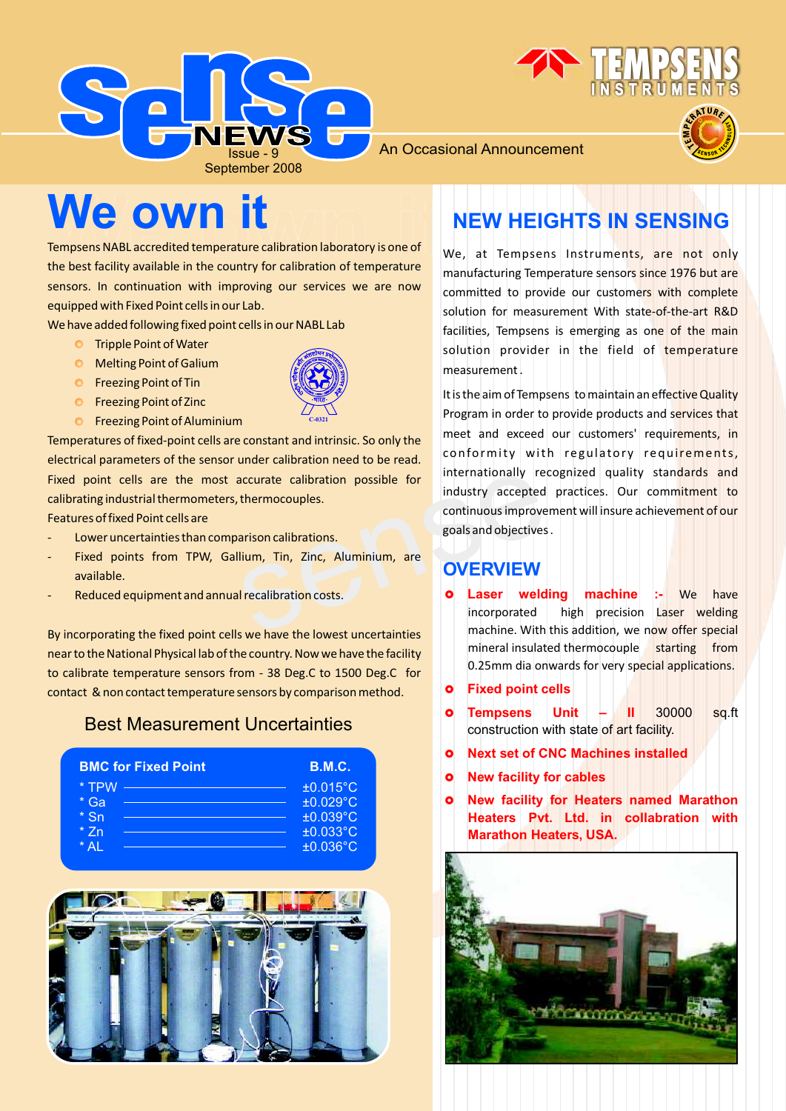





An Occasional Announcement

# **We own it**

Tempsens NABL accredited temperature calibration laboratory is one of the best facility available in the country for calibration of temperature sensors. In continuation with improving our services we are now equipped with Fixed Point cells in our Lab.

We have added following fixed point cells in our NABL Lab

- **O** Tripple Point of Water
- Melting Point of Galium
- **O** Freezing Point of Tin
- **O** Freezing Point of Zinc
- **O** Freezing Point of Aluminium

Temperatures of fixed-point cells are constant and intrinsic. So only the electrical parameters of the sensor under calibration need to be read. Fixed point cells are the most accurate calibration possible for calibrating industrial thermometers, thermocouples.

**C-0321**

Features of fixed Point cells are

- Lower uncertainties than comparison calibrations.
- Fixed points from TPW, Gallium, Tin, Zinc, Aluminium, are available.
- Reduced equipment and annual recalibration costs.

By incorporating the fixed point cells we have the lowest uncertainties near to the National Physical lab of the country. Now we have the facility to calibrate temperature sensors from - 38 Deg.C to 1500 Deg.C for contact & non contact temperature sensors by comparison method.

### Best Measurement Uncertainties





### **NEW HEIGHTS IN SENSING**

We, at Tempsens Instruments, are not only manufacturing Temperature sensors since 1976 but are committed to provide our customers with complete solution for measurement With state-of-the-art R&D facilities, Tempsens is emerging as one of the main solution provider in the field of temperature measurement .

EXERIPTION CONTROLLARY THE MITELEUM CONTROLLARY SCREEN CONTROLLARY SCREEN CONTROLLARY SCREEN CONTROLLARY SCREEN CONTROLLARY SCREEN CONTROLLARY CONTROLLARY OF THE MITELEUM CONTROLLARY CONTROLLARY CONTROLLARY CONTROLLARY CON It is the aim of Tempsens to maintain an effective Quality Program in order to provide products and services that meet and exceed our customers' requirements, in conformity with regulatory requirements, internationally recognized quality standards and industry accepted practices. Our commitment to continuous improvement will insure achievement of our goals and objectives .

### **O VERVIEW**

- £ **Laser welding machine :-**  We have incorporated high precision Laser welding machine. With this addition, we now offer special mineral insulated thermocouple starting from 0.25mm dia onwards for very special applications.
- £**Fixed point cells**
- £ **Tempsens Unit II**  30000 sq.ft construction with state of art facility.
- £**Next set of CNC Machines installed**
- £ **New facility for cables**
- £ **New facility for Heaters named Marathon Heaters Pvt. Ltd. in collabration with Marathon Heaters, USA.**

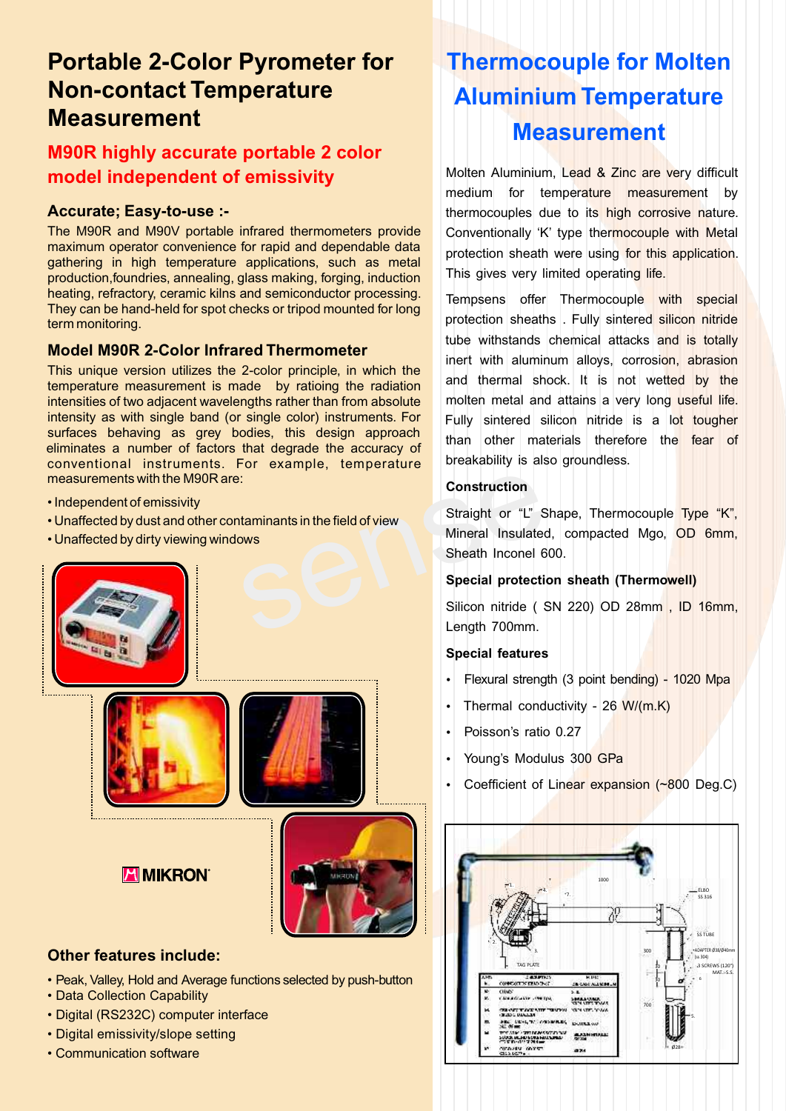### **Portable 2-Color Pyrometer for Non-contact Temperature Measurement**

### **M90R highly accurate portable 2 color model independent of emissivity**

#### **Accurate; Easy-to-use :-**

The M90R and M90V portable infrared thermometers provide maximum operator convenience for rapid and dependable data gathering in high temperature applications, such as metal production,foundries, annealing, glass making, forging, induction heating, refractory, ceramic kilns and semiconductor processing. They can be hand-held for spot checks or tripod mounted for long term monitoring.

#### **Model M90R 2-Color Infrared Thermometer**

This unique version utilizes the 2-color principle, in which the temperature measurement is made by ratioing the radiation intensities of two adjacent wavelengths rather than from absolute intensity as with single band (or single color) instruments. For surfaces behaving as grey bodies, this design approach eliminates a number of factors that degrade the accuracy of conventional instruments. For example, temperature measurements with the M90R are:

- Independent of emissivity
- Unaffected by dust and other contaminants in the field of view
- Unaffected by dirty viewing windows





**ZIMIKRON** 



#### **Other features include:**

- Peak, Valley, Hold and Average functions selected by push-button
- Data Collection Capability
- Digital (RS232C) computer interface
- Digital emissivity/slope setting
- Communication software

# **Thermocouple for Molten Aluminium Temperature Measurement**

Molten Aluminium, Lead & Zinc are very difficult medium for temperature measurement by thermocouples due to its high corrosive nature. Conventionally 'K' type thermocouple with Metal protection sheath were using for this application. This gives very limited operating life.

Tempsens offer Thermocouple with special protection sheaths . Fully sintered silicon nitride tube withstands chemical attacks and is totally inert with aluminum alloys, corrosion, abrasion and thermal shock. It is not wetted by the molten metal and attains a very long useful life. Fully sintered silicon nitride is a lot tougher than other materials therefore the fear of breakability is also groundless.

#### **Construction**

Examinants in the field of view<br>
Mineral Insulated,<br>
Sheath Inconel 60<br>
Sheath Inconel 60<br>
Sheath Inconel 60<br>
Sheath Inconel 60<br>
Sheath Inconel 60<br>
Sheath Inconel 60<br>
Sheath Toom nitride (Sheath 700mm. Straight or "L" Shape, Thermocouple Type "K", Mineral Insulated, compacted Mgo, OD 6mm, Sheath Inconel 600.

#### **Special protection sheath (Thermowell)**

Silicon nitride ( SN 220) OD 28mm , ID 16mm, Length 700mm.

#### **Special features**

- **Special features<br>•** Flexural strengt • Flexural strength (3 point bending) - 1020 Mpa<br>• Thermal conductivity - 26 W/(m.K)
- Thermal conductivity 26 W/(m.K)<br>Poisson's ratio 0.27
- 
- Young's Modulus 300 GPa
- ?Young's Modulus 300 GPa Coefficient of Linear expansion (~800 Deg.C)

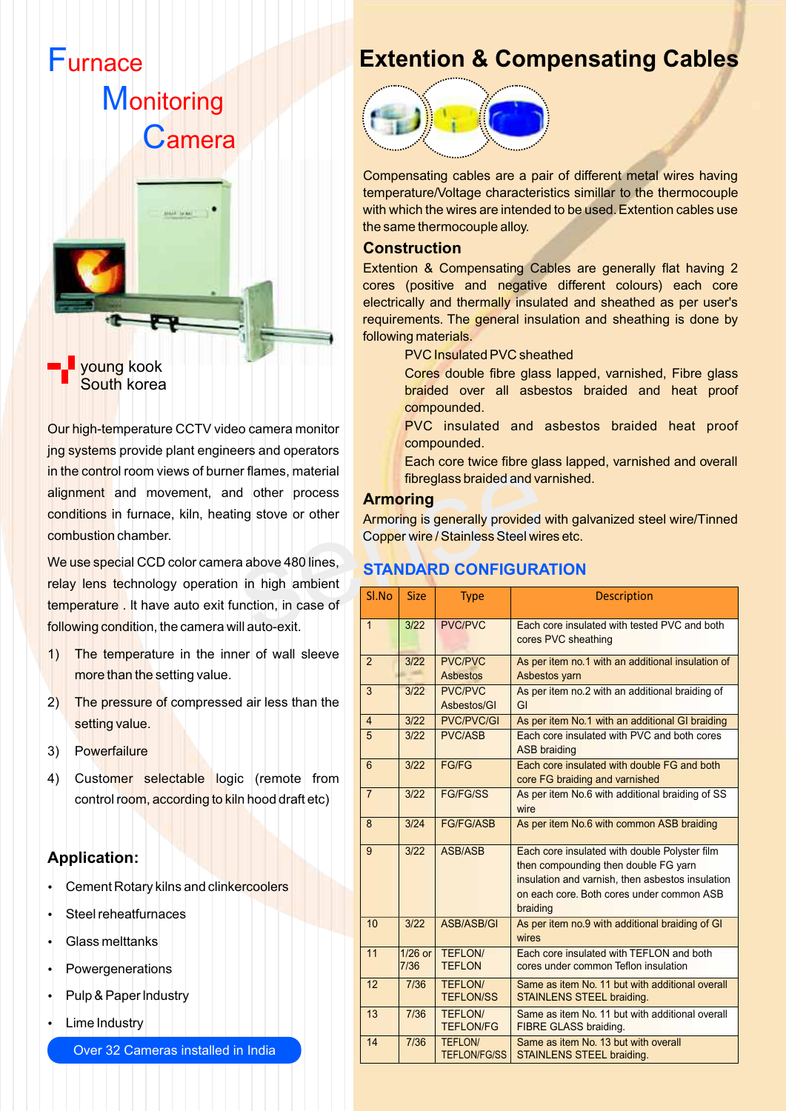

Our high-temperature CCTV video camera monitor jng systems provide plant engineers and operators in the control room views of burner flames, material alignment and movement, and other process conditions in furnace, kiln, heating stove or other combustion chamber.

We use special CCD color camera above 480 lines, relay lens technology operation in high ambient temperature . lt have auto exit function, in case of following condition, the camera will auto-exit.

- 1) The temperature in the inner of wall sleeve more than the setting value.
- 2) The pressure of compressed air less than the setting value.
- 3) Powerfailure
- 4) Customer selectable logic (remote from control room, according to kiln hood draft etc)

#### **Application:**

- **Cement Rotary kilns and clinkercoolers**
- ? ?Steel reheatfurnaces
- 
- Glass melttanks<br>Powergenerations
- Powergenerations<br>• Pulp & Paper Indus • Pulp & Paper Industry<br>• Lime Industry
- Lime Industry

Over 32 Cameras installed in India

### **Extention & Compensating Cables**



Compensating cables are a pair of different metal wires having temperature/Voltage characteristics simillar to the thermocouple with which the wires are intended to be used. Extention cables use the same thermocouple alloy.

#### **Construction**

Extention & Compensating Cables are generally flat having 2 cores (positive and negative different colours) each core electrically and thermally insulated and sheathed as per user's requirements. The general insulation and sheathing is done by following materials.

PVC Insulated PVC sheathed

Cores double fibre glass lapped, varnished, Fibre glass braided over all asbestos braided and heat proof compounded.

PVC insulated and asbestos braided heat proof compounded.

Each core twice fibre glass lapped, varnished and overall fibreglass braided and varnished.

#### **Armoring**

#### **STANDARD CONFIGURATION**

| er flames, material |                 |                 |                                          | fibreglass braided and varnished.                                                             |
|---------------------|-----------------|-----------------|------------------------------------------|-----------------------------------------------------------------------------------------------|
| d other process     | <b>Armoring</b> |                 |                                          |                                                                                               |
| ng stove or other   |                 |                 |                                          | Armoring is generally provided with galvanized steel wire/Tinned                              |
|                     |                 |                 | Copper wire / Stainless Steel wires etc. |                                                                                               |
| a above 480 lines,  |                 |                 | <b>STANDARD CONFIGURATION</b>            |                                                                                               |
| in high ambient     |                 |                 |                                          |                                                                                               |
| inction, in case of | Sl.No           | <b>Size</b>     | <b>Type</b>                              | <b>Description</b>                                                                            |
| ill auto-exit.      | $\mathbf{1}$    | 3/22            | <b>PVC/PVC</b>                           | Each core insulated with tested PVC and both                                                  |
| er of wall sleeve   |                 |                 |                                          | cores PVC sheathing                                                                           |
|                     | $\overline{2}$  | 3/22            | <b>PVC/PVC</b>                           | As per item no.1 with an additional insulation of                                             |
|                     |                 |                 | <b>Asbestos</b>                          | Asbestos yarn                                                                                 |
| d air less than the | 3               | 3/22            | <b>PVC/PVC</b><br>Asbestos/GI            | As per item no.2 with an additional braiding of<br>GI                                         |
|                     | $\overline{4}$  | 3/22            | <b>PVC/PVC/GI</b>                        | As per item No.1 with an additional GI braiding                                               |
|                     | $\overline{5}$  | 3/22            | <b>PVC/ASB</b>                           | Each core insulated with PVC and both cores                                                   |
|                     |                 |                 |                                          | <b>ASB braiding</b>                                                                           |
|                     | 6               | 3/22            | <b>FG/FG</b>                             | Each core insulated with double FG and both                                                   |
| c (remote from      |                 |                 |                                          | core FG braiding and varnished                                                                |
| n hood draft etc)   | $\overline{7}$  | 3/22            | <b>FG/FG/SS</b>                          | As per item No.6 with additional braiding of SS<br>wire                                       |
|                     | 8               | 3/24            | <b>FG/FG/ASB</b>                         | As per item No.6 with common ASB braiding                                                     |
|                     | 9               | 3/22            | ASB/ASB                                  | Each core insulated with double Polyster film                                                 |
|                     |                 |                 |                                          | then compounding then double FG yarn                                                          |
| ercoolers           |                 |                 |                                          | insulation and varnish, then asbestos insulation<br>on each core. Both cores under common ASB |
|                     |                 |                 |                                          | braiding                                                                                      |
|                     | 10              | 3/22            | ASB/ASB/GI                               | As per item no.9 with additional braiding of GI<br>wires                                      |
|                     | 11              | 1/26 or<br>7/36 | <b>TEFLON/</b><br><b>TEFLON</b>          | Each core insulated with TEFLON and both<br>cores under common Teflon insulation              |
|                     | 12              | 7/36            | <b>TEFLON/</b><br><b>TEFLON/SS</b>       | Same as item No. 11 but with additional overall<br>STAINLENS STEEL braiding.                  |
|                     | 13              | 7/36            | <b>TEFLON/</b><br><b>TEFLON/FG</b>       | Same as item No. 11 but with additional overall<br><b>FIBRE GLASS braiding.</b>               |
| n India             | 14              | 7/36            | TEFLON/<br><b>TEFLON/FG/SS</b>           | Same as item No. 13 but with overall<br>STAINLENS STEEL braiding.                             |